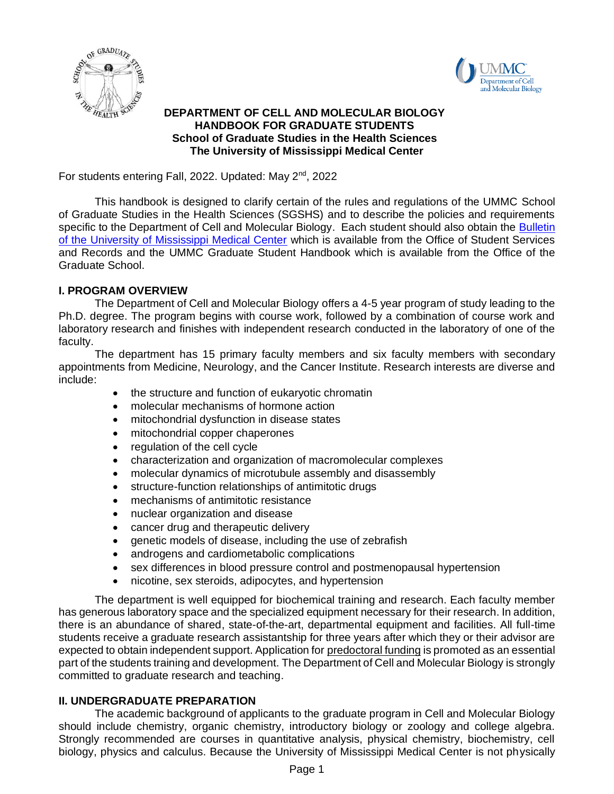



# **DEPARTMENT OF CELL AND MOLECULAR BIOLOGY HANDBOOK FOR GRADUATE STUDENTS School of Graduate Studies in the Health Sciences The University of Mississippi Medical Center**

For students entering Fall, 2022. Updated: May 2<sup>nd</sup>, 2022

This handbook is designed to clarify certain of the rules and regulations of the UMMC School of Graduate Studies in the Health Sciences (SGSHS) and to describe the policies and requirements specific to the Department of Cell and Molecular Biology. Each student should also obtain the Bulletin [of the University of Mississippi Medical Center](http://www.umc.edu/bulletin/) which is available from the Office of Student Services and Records and the UMMC Graduate Student Handbook which is available from the Office of the Graduate School.

# **I. PROGRAM OVERVIEW**

The Department of Cell and Molecular Biology offers a 4-5 year program of study leading to the Ph.D. degree. The program begins with course work, followed by a combination of course work and laboratory research and finishes with independent research conducted in the laboratory of one of the faculty.

The department has 15 primary faculty members and six faculty members with secondary appointments from Medicine, Neurology, and the Cancer Institute. Research interests are diverse and include:

- the structure and function of eukaryotic chromatin
- molecular mechanisms of hormone action
- mitochondrial dysfunction in disease states
- mitochondrial copper chaperones
- regulation of the cell cycle
- characterization and organization of macromolecular complexes
- molecular dynamics of microtubule assembly and disassembly
- structure-function relationships of antimitotic drugs
- mechanisms of antimitotic resistance
- nuclear organization and disease
- cancer drug and therapeutic delivery
- genetic models of disease, including the use of zebrafish
- androgens and cardiometabolic complications
- sex differences in blood pressure control and postmenopausal hypertension
- nicotine, sex steroids, adipocytes, and hypertension

The department is well equipped for biochemical training and research. Each faculty member has generous laboratory space and the specialized equipment necessary for their research. In addition, there is an abundance of shared, state-of-the-art, departmental equipment and facilities. All full-time students receive a graduate research assistantship for three years after which they or their advisor are expected to obtain independent support. Application for predoctoral funding is promoted as an essential part of the students training and development. The Department of Cell and Molecular Biology is strongly committed to graduate research and teaching.

# **II. UNDERGRADUATE PREPARATION**

The academic background of applicants to the graduate program in Cell and Molecular Biology should include chemistry, organic chemistry, introductory biology or zoology and college algebra. Strongly recommended are courses in quantitative analysis, physical chemistry, biochemistry, cell biology, physics and calculus. Because the University of Mississippi Medical Center is not physically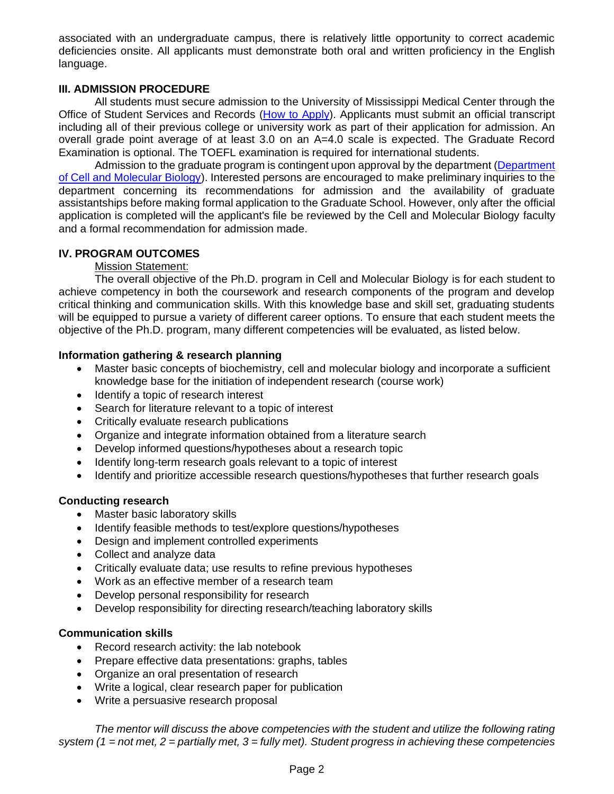associated with an undergraduate campus, there is relatively little opportunity to correct academic deficiencies onsite. All applicants must demonstrate both oral and written proficiency in the English language.

# **III. ADMISSION PROCEDURE**

All students must secure admission to the University of Mississippi Medical Center through the Office of Student Services and Records [\(How to Apply\)](https://www.umc.edu/som/Departments%20and%20Offices/SOM%20Departments/Cell%20and%20Molecular%20Biology/For%20Students/How%20to%20Apply.html). Applicants must submit an official transcript including all of their previous college or university work as part of their application for admission. An overall grade point average of at least 3.0 on an A=4.0 scale is expected. The Graduate Record Examination is optional. The TOEFL examination is required for international students.

Admission to the graduate program is contingent upon approval by the department (Department [of Cell and Molecular Biology\)](https://www.umc.edu/som/Departments%20and%20Offices/SOM%20Departments/Cell%20and%20Molecular%20Biology/Biochemistry-Home-Page.html). Interested persons are encouraged to make preliminary inquiries to the department concerning its recommendations for admission and the availability of graduate assistantships before making formal application to the Graduate School. However, only after the official application is completed will the applicant's file be reviewed by the Cell and Molecular Biology faculty and a formal recommendation for admission made.

# **IV. PROGRAM OUTCOMES**

Mission Statement:

The overall objective of the Ph.D. program in Cell and Molecular Biology is for each student to achieve competency in both the coursework and research components of the program and develop critical thinking and communication skills. With this knowledge base and skill set, graduating students will be equipped to pursue a variety of different career options. To ensure that each student meets the objective of the Ph.D. program, many different competencies will be evaluated, as listed below.

### **Information gathering & research planning**

- Master basic concepts of biochemistry, cell and molecular biology and incorporate a sufficient knowledge base for the initiation of independent research (course work)
- Identify a topic of research interest
- Search for literature relevant to a topic of interest
- Critically evaluate research publications
- Organize and integrate information obtained from a literature search
- Develop informed questions/hypotheses about a research topic
- Identify long-term research goals relevant to a topic of interest
- Identify and prioritize accessible research questions/hypotheses that further research goals

#### **Conducting research**

- Master basic laboratory skills
- Identify feasible methods to test/explore questions/hypotheses
- Design and implement controlled experiments
- Collect and analyze data
- Critically evaluate data; use results to refine previous hypotheses
- Work as an effective member of a research team
- Develop personal responsibility for research
- Develop responsibility for directing research/teaching laboratory skills

#### **Communication skills**

- Record research activity: the lab notebook
- Prepare effective data presentations: graphs, tables
- Organize an oral presentation of research
- Write a logical, clear research paper for publication
- Write a persuasive research proposal

*The mentor will discuss the above competencies with the student and utilize the following rating system (1 = not met, 2 = partially met, 3 = fully met). Student progress in achieving these competencies*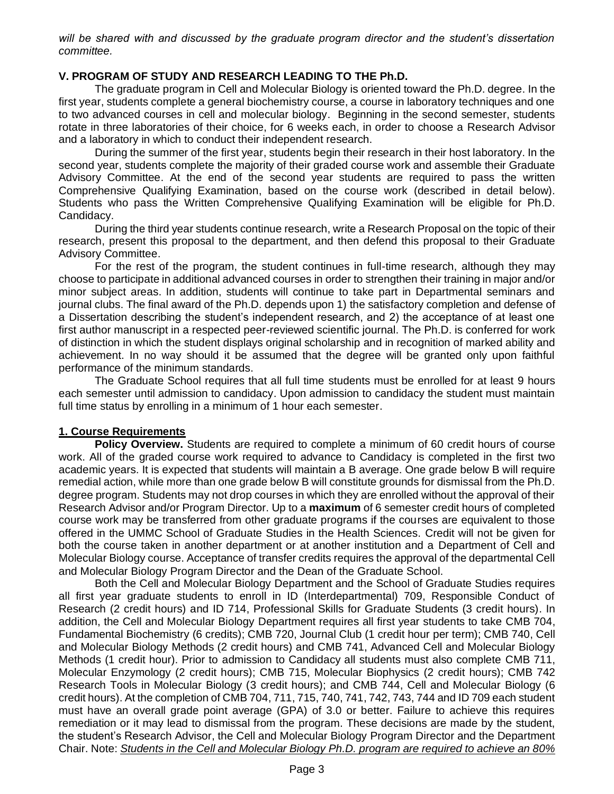*will be shared with and discussed by the graduate program director and the student's dissertation committee.*

## **V. PROGRAM OF STUDY AND RESEARCH LEADING TO THE Ph.D.**

The graduate program in Cell and Molecular Biology is oriented toward the Ph.D. degree. In the first year, students complete a general biochemistry course, a course in laboratory techniques and one to two advanced courses in cell and molecular biology. Beginning in the second semester, students rotate in three laboratories of their choice, for 6 weeks each, in order to choose a Research Advisor and a laboratory in which to conduct their independent research.

During the summer of the first year, students begin their research in their host laboratory. In the second year, students complete the majority of their graded course work and assemble their Graduate Advisory Committee. At the end of the second year students are required to pass the written Comprehensive Qualifying Examination, based on the course work (described in detail below). Students who pass the Written Comprehensive Qualifying Examination will be eligible for Ph.D. Candidacy.

During the third year students continue research, write a Research Proposal on the topic of their research, present this proposal to the department, and then defend this proposal to their Graduate Advisory Committee.

For the rest of the program, the student continues in full-time research, although they may choose to participate in additional advanced courses in order to strengthen their training in major and/or minor subject areas. In addition, students will continue to take part in Departmental seminars and journal clubs. The final award of the Ph.D. depends upon 1) the satisfactory completion and defense of a Dissertation describing the student's independent research, and 2) the acceptance of at least one first author manuscript in a respected peer-reviewed scientific journal. The Ph.D. is conferred for work of distinction in which the student displays original scholarship and in recognition of marked ability and achievement. In no way should it be assumed that the degree will be granted only upon faithful performance of the minimum standards.

The Graduate School requires that all full time students must be enrolled for at least 9 hours each semester until admission to candidacy. Upon admission to candidacy the student must maintain full time status by enrolling in a minimum of 1 hour each semester.

#### **1. Course Requirements**

**Policy Overview.** Students are required to complete a minimum of 60 credit hours of course work. All of the graded course work required to advance to Candidacy is completed in the first two academic years. It is expected that students will maintain a B average. One grade below B will require remedial action, while more than one grade below B will constitute grounds for dismissal from the Ph.D. degree program. Students may not drop courses in which they are enrolled without the approval of their Research Advisor and/or Program Director. Up to a **maximum** of 6 semester credit hours of completed course work may be transferred from other graduate programs if the courses are equivalent to those offered in the UMMC School of Graduate Studies in the Health Sciences. Credit will not be given for both the course taken in another department or at another institution and a Department of Cell and Molecular Biology course. Acceptance of transfer credits requires the approval of the departmental Cell and Molecular Biology Program Director and the Dean of the Graduate School.

Both the Cell and Molecular Biology Department and the School of Graduate Studies requires all first year graduate students to enroll in ID (Interdepartmental) 709, Responsible Conduct of Research (2 credit hours) and ID 714, Professional Skills for Graduate Students (3 credit hours). In addition, the Cell and Molecular Biology Department requires all first year students to take CMB 704, Fundamental Biochemistry (6 credits); CMB 720, Journal Club (1 credit hour per term); CMB 740, Cell and Molecular Biology Methods (2 credit hours) and CMB 741, Advanced Cell and Molecular Biology Methods (1 credit hour). Prior to admission to Candidacy all students must also complete CMB 711, Molecular Enzymology (2 credit hours); CMB 715, Molecular Biophysics (2 credit hours); CMB 742 Research Tools in Molecular Biology (3 credit hours); and CMB 744, Cell and Molecular Biology (6 credit hours). At the completion of CMB 704, 711, 715, 740, 741, 742, 743, 744 and ID 709 each student must have an overall grade point average (GPA) of 3.0 or better. Failure to achieve this requires remediation or it may lead to dismissal from the program. These decisions are made by the student, the student's Research Advisor, the Cell and Molecular Biology Program Director and the Department Chair. Note: *Students in the Cell and Molecular Biology Ph.D. program are required to achieve an 80%*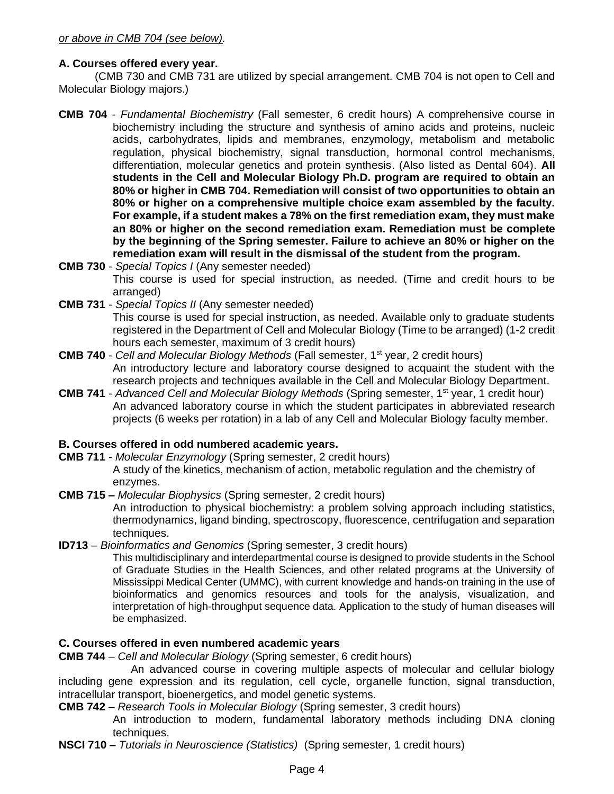# **A. Courses offered every year.**

(CMB 730 and CMB 731 are utilized by special arrangement. CMB 704 is not open to Cell and Molecular Biology majors.)

- **CMB 704** *Fundamental Biochemistry* (Fall semester, 6 credit hours) A comprehensive course in biochemistry including the structure and synthesis of amino acids and proteins, nucleic acids, carbohydrates, lipids and membranes, enzymology, metabolism and metabolic regulation, physical biochemistry, signal transduction, hormonal control mechanisms, differentiation, molecular genetics and protein synthesis. (Also listed as Dental 604). **All students in the Cell and Molecular Biology Ph.D. program are required to obtain an 80% or higher in CMB 704. Remediation will consist of two opportunities to obtain an 80% or higher on a comprehensive multiple choice exam assembled by the faculty. For example, if a student makes a 78% on the first remediation exam, they must make an 80% or higher on the second remediation exam. Remediation must be complete by the beginning of the Spring semester. Failure to achieve an 80% or higher on the remediation exam will result in the dismissal of the student from the program.**
- **CMB 730** *Special Topics I* (Any semester needed) This course is used for special instruction, as needed. (Time and credit hours to be arranged)
- **CMB 731** *Special Topics II* (Any semester needed) This course is used for special instruction, as needed. Available only to graduate students registered in the Department of Cell and Molecular Biology (Time to be arranged) (1-2 credit hours each semester, maximum of 3 credit hours)
- **CMB 740** *Cell and Molecular Biology Methods* (Fall semester, 1st year, 2 credit hours) An introductory lecture and laboratory course designed to acquaint the student with the research projects and techniques available in the Cell and Molecular Biology Department.
- **CMB 741** *Advanced Cell and Molecular Biology Methods* (Spring semester, 1st year, 1 credit hour) An advanced laboratory course in which the student participates in abbreviated research projects (6 weeks per rotation) in a lab of any Cell and Molecular Biology faculty member.

# **B. Courses offered in odd numbered academic years.**

**CMB 711** - *Molecular Enzymology* (Spring semester, 2 credit hours)

A study of the kinetics, mechanism of action, metabolic regulation and the chemistry of enzymes.

**CMB 715 –** *Molecular Biophysics* (Spring semester, 2 credit hours)

An introduction to physical biochemistry: a problem solving approach including statistics, thermodynamics, ligand binding, spectroscopy, fluorescence, centrifugation and separation techniques.

**ID713** – *Bioinformatics and Genomics* (Spring semester, 3 credit hours)

This multidisciplinary and interdepartmental course is designed to provide students in the School of Graduate Studies in the Health Sciences, and other related programs at the University of Mississippi Medical Center (UMMC), with current knowledge and hands-on training in the use of bioinformatics and genomics resources and tools for the analysis, visualization, and interpretation of high-throughput sequence data. Application to the study of human diseases will be emphasized.

# **C. Courses offered in even numbered academic years**

**CMB 744** – *Cell and Molecular Biology* (Spring semester, 6 credit hours)

An advanced course in covering multiple aspects of molecular and cellular biology including gene expression and its regulation, cell cycle, organelle function, signal transduction, intracellular transport, bioenergetics, and model genetic systems.

**CMB 742** – *Research Tools in Molecular Biology* (Spring semester, 3 credit hours)

An introduction to modern, fundamental laboratory methods including DNA cloning techniques.

**NSCI 710 –** *Tutorials in Neuroscience (Statistics)* (Spring semester, 1 credit hours)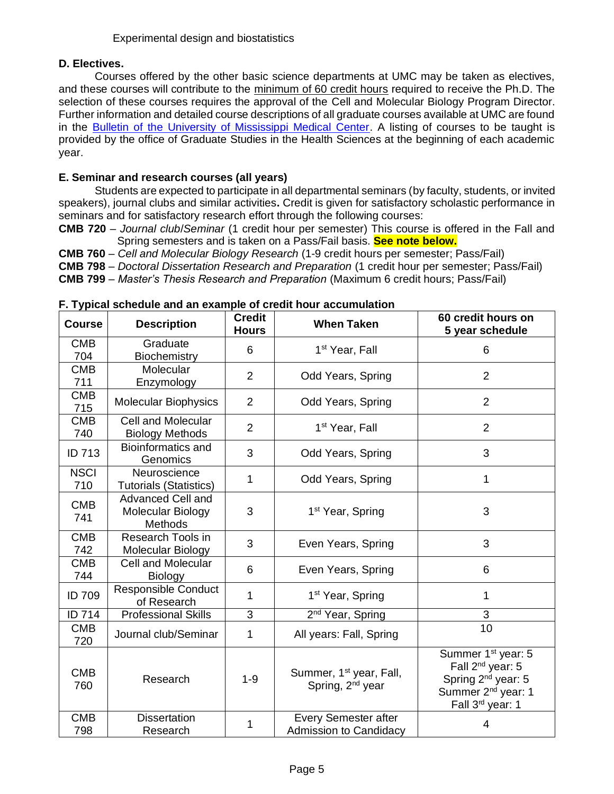# **D. Electives.**

Courses offered by the other basic science departments at UMC may be taken as electives, and these courses will contribute to the minimum of 60 credit hours required to receive the Ph.D. The selection of these courses requires the approval of the Cell and Molecular Biology Program Director. Further information and detailed course descriptions of all graduate courses available at UMC are found in the **Bulletin of the University of Mississippi Medical Center**. A listing of courses to be taught is provided by the office of Graduate Studies in the Health Sciences at the beginning of each academic year.

# **E. Seminar and research courses (all years)**

Students are expected to participate in all departmental seminars (by faculty, students, or invited speakers), journal clubs and similar activities**.** Credit is given for satisfactory scholastic performance in seminars and for satisfactory research effort through the following courses:

**CMB 720** – *Journal club*/*Seminar* (1 credit hour per semester) This course is offered in the Fall and Spring semesters and is taken on a Pass/Fail basis. **See note below.**

**CMB 760** – *Cell and Molecular Biology Research* (1-9 credit hours per semester; Pass/Fail)

**CMB 798** – *Doctoral Dissertation Research and Preparation* (1 credit hour per semester; Pass/Fail)

**CMB 799** – *Master's Thesis Research and Preparation* (Maximum 6 credit hours; Pass/Fail)

| <b>Course</b>      | <b>Description</b>                                              | <b>Credit</b><br><b>Hours</b> | <b>When Taken</b>                                                   | 60 credit hours on<br>5 year schedule                                                                                                                              |
|--------------------|-----------------------------------------------------------------|-------------------------------|---------------------------------------------------------------------|--------------------------------------------------------------------------------------------------------------------------------------------------------------------|
| <b>CMB</b><br>704  | Graduate<br><b>Biochemistry</b>                                 | 6                             | 1 <sup>st</sup> Year, Fall                                          | 6                                                                                                                                                                  |
| <b>CMB</b><br>711  | Molecular<br>Enzymology                                         | $\overline{2}$                | Odd Years, Spring                                                   | $\overline{2}$                                                                                                                                                     |
| <b>CMB</b><br>715  | <b>Molecular Biophysics</b>                                     | $\overline{2}$                | Odd Years, Spring                                                   | $\overline{2}$                                                                                                                                                     |
| <b>CMB</b><br>740  | <b>Cell and Molecular</b><br><b>Biology Methods</b>             | $\overline{2}$                | 1 <sup>st</sup> Year, Fall                                          | $\overline{2}$                                                                                                                                                     |
| ID 713             | <b>Bioinformatics and</b><br>Genomics                           | 3                             | Odd Years, Spring                                                   | 3                                                                                                                                                                  |
| <b>NSCI</b><br>710 | Neuroscience<br><b>Tutorials (Statistics)</b>                   | $\mathbf{1}$                  | Odd Years, Spring                                                   | 1                                                                                                                                                                  |
| <b>CMB</b><br>741  | <b>Advanced Cell and</b><br>Molecular Biology<br><b>Methods</b> | 3                             | 1 <sup>st</sup> Year, Spring                                        | 3                                                                                                                                                                  |
| <b>CMB</b><br>742  | Research Tools in<br>Molecular Biology                          | 3                             | Even Years, Spring                                                  | 3                                                                                                                                                                  |
| <b>CMB</b><br>744  | <b>Cell and Molecular</b><br><b>Biology</b>                     | 6                             | Even Years, Spring                                                  | 6                                                                                                                                                                  |
| <b>ID 709</b>      | <b>Responsible Conduct</b><br>of Research                       | 1                             | 1 <sup>st</sup> Year, Spring                                        | 1                                                                                                                                                                  |
| ID 714             | <b>Professional Skills</b>                                      | 3                             | 2 <sup>nd</sup> Year, Spring                                        | 3                                                                                                                                                                  |
| <b>CMB</b><br>720  | Journal club/Seminar                                            | 1                             | All years: Fall, Spring                                             | 10                                                                                                                                                                 |
| <b>CMB</b><br>760  | Research                                                        | $1 - 9$                       | Summer, 1 <sup>st</sup> year, Fall,<br>Spring, 2 <sup>nd</sup> year | Summer 1 <sup>st</sup> year: 5<br>Fall 2 <sup>nd</sup> year: 5<br>Spring 2 <sup>nd</sup> year: 5<br>Summer 2 <sup>nd</sup> year: 1<br>Fall 3 <sup>rd</sup> year: 1 |
| <b>CMB</b><br>798  | <b>Dissertation</b><br>Research                                 | 1                             | Every Semester after<br>Admission to Candidacy                      | 4                                                                                                                                                                  |

#### **F. Typical schedule and an example of credit hour accumulation**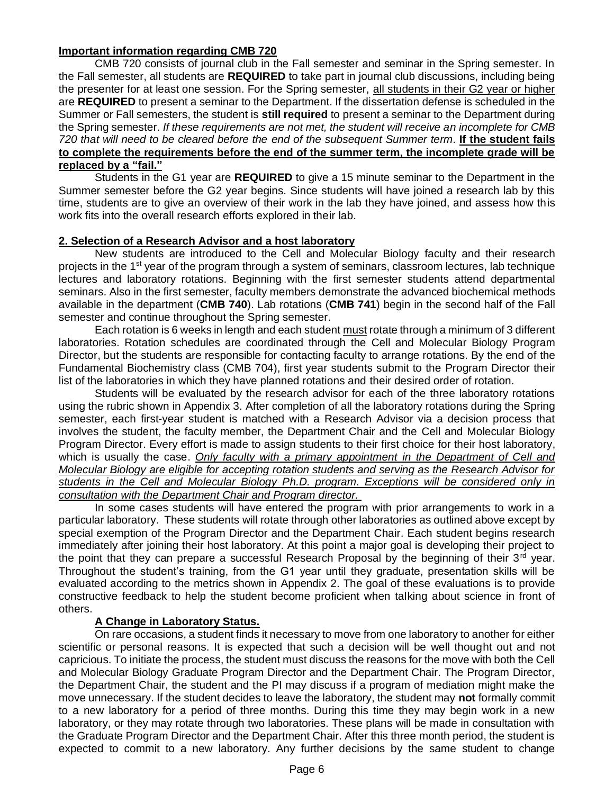### **Important information regarding CMB 720**

CMB 720 consists of journal club in the Fall semester and seminar in the Spring semester. In the Fall semester, all students are **REQUIRED** to take part in journal club discussions, including being the presenter for at least one session. For the Spring semester, all students in their G2 year or higher are **REQUIRED** to present a seminar to the Department. If the dissertation defense is scheduled in the Summer or Fall semesters, the student is **still required** to present a seminar to the Department during the Spring semester. *If these requirements are not met, the student will receive an incomplete for CMB 720 that will need to be cleared before the end of the subsequent Summer term*. **If the student fails to complete the requirements before the end of the summer term, the incomplete grade will be replaced by a "fail."**

Students in the G1 year are **REQUIRED** to give a 15 minute seminar to the Department in the Summer semester before the G2 year begins. Since students will have joined a research lab by this time, students are to give an overview of their work in the lab they have joined, and assess how this work fits into the overall research efforts explored in their lab.

### **2. Selection of a Research Advisor and a host laboratory**

New students are introduced to the Cell and Molecular Biology faculty and their research projects in the 1<sup>st</sup> year of the program through a system of seminars, classroom lectures, lab technique lectures and laboratory rotations. Beginning with the first semester students attend departmental seminars. Also in the first semester, faculty members demonstrate the advanced biochemical methods available in the department (**CMB 740**). Lab rotations (**CMB 741**) begin in the second half of the Fall semester and continue throughout the Spring semester.

Each rotation is 6 weeks in length and each student must rotate through a minimum of 3 different laboratories. Rotation schedules are coordinated through the Cell and Molecular Biology Program Director, but the students are responsible for contacting faculty to arrange rotations. By the end of the Fundamental Biochemistry class (CMB 704), first year students submit to the Program Director their list of the laboratories in which they have planned rotations and their desired order of rotation.

Students will be evaluated by the research advisor for each of the three laboratory rotations using the rubric shown in Appendix 3. After completion of all the laboratory rotations during the Spring semester, each first-year student is matched with a Research Advisor via a decision process that involves the student, the faculty member, the Department Chair and the Cell and Molecular Biology Program Director. Every effort is made to assign students to their first choice for their host laboratory, which is usually the case. *Only faculty with a primary appointment in the Department of Cell and Molecular Biology are eligible for accepting rotation students and serving as the Research Advisor for students in the Cell and Molecular Biology Ph.D. program. Exceptions will be considered only in consultation with the Department Chair and Program director.*

In some cases students will have entered the program with prior arrangements to work in a particular laboratory. These students will rotate through other laboratories as outlined above except by special exemption of the Program Director and the Department Chair. Each student begins research immediately after joining their host laboratory. At this point a major goal is developing their project to the point that they can prepare a successful Research Proposal by the beginning of their  $3<sup>rd</sup>$  year. Throughout the student's training, from the G1 year until they graduate, presentation skills will be evaluated according to the metrics shown in Appendix 2. The goal of these evaluations is to provide constructive feedback to help the student become proficient when talking about science in front of others.

# **A Change in Laboratory Status.**

On rare occasions, a student finds it necessary to move from one laboratory to another for either scientific or personal reasons. It is expected that such a decision will be well thought out and not capricious. To initiate the process, the student must discuss the reasons for the move with both the Cell and Molecular Biology Graduate Program Director and the Department Chair. The Program Director, the Department Chair, the student and the PI may discuss if a program of mediation might make the move unnecessary. If the student decides to leave the laboratory, the student may **not** formally commit to a new laboratory for a period of three months. During this time they may begin work in a new laboratory, or they may rotate through two laboratories. These plans will be made in consultation with the Graduate Program Director and the Department Chair. After this three month period, the student is expected to commit to a new laboratory. Any further decisions by the same student to change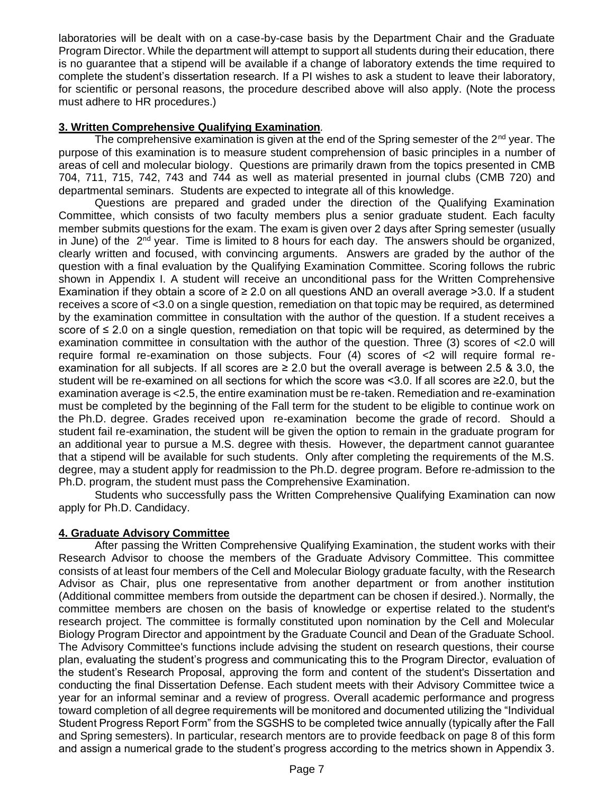laboratories will be dealt with on a case-by-case basis by the Department Chair and the Graduate Program Director. While the department will attempt to support all students during their education, there is no guarantee that a stipend will be available if a change of laboratory extends the time required to complete the student's dissertation research. If a PI wishes to ask a student to leave their laboratory, for scientific or personal reasons, the procedure described above will also apply. (Note the process must adhere to HR procedures.)

# **3. Written Comprehensive Qualifying Examination***.*

The comprehensive examination is given at the end of the Spring semester of the  $2<sup>nd</sup>$  year. The purpose of this examination is to measure student comprehension of basic principles in a number of areas of cell and molecular biology. Questions are primarily drawn from the topics presented in CMB 704, 711, 715, 742, 743 and 744 as well as material presented in journal clubs (CMB 720) and departmental seminars. Students are expected to integrate all of this knowledge.

Questions are prepared and graded under the direction of the Qualifying Examination Committee, which consists of two faculty members plus a senior graduate student. Each faculty member submits questions for the exam. The exam is given over 2 days after Spring semester (usually in June) of the 2<sup>nd</sup> year. Time is limited to 8 hours for each day. The answers should be organized, clearly written and focused, with convincing arguments. Answers are graded by the author of the question with a final evaluation by the Qualifying Examination Committee. Scoring follows the rubric shown in Appendix I. A student will receive an unconditional pass for the Written Comprehensive Examination if they obtain a score of  $\geq 2.0$  on all questions AND an overall average  $>3.0$ . If a student receives a score of <3.0 on a single question, remediation on that topic may be required, as determined by the examination committee in consultation with the author of the question. If a student receives a score of ≤ 2.0 on a single question, remediation on that topic will be required, as determined by the examination committee in consultation with the author of the question. Three (3) scores of <2.0 will require formal re-examination on those subjects. Four (4) scores of <2 will require formal reexamination for all subjects. If all scores are  $\geq 2.0$  but the overall average is between 2.5 & 3.0, the student will be re-examined on all sections for which the score was <3.0. If all scores are ≥2.0, but the examination average is <2.5, the entire examination must be re-taken. Remediation and re-examination must be completed by the beginning of the Fall term for the student to be eligible to continue work on the Ph.D. degree. Grades received upon re-examination become the grade of record. Should a student fail re-examination, the student will be given the option to remain in the graduate program for an additional year to pursue a M.S. degree with thesis. However, the department cannot guarantee that a stipend will be available for such students. Only after completing the requirements of the M.S. degree, may a student apply for readmission to the Ph.D. degree program. Before re-admission to the Ph.D. program, the student must pass the Comprehensive Examination.

Students who successfully pass the Written Comprehensive Qualifying Examination can now apply for Ph.D. Candidacy.

# **4. Graduate Advisory Committee**

After passing the Written Comprehensive Qualifying Examination, the student works with their Research Advisor to choose the members of the Graduate Advisory Committee. This committee consists of at least four members of the Cell and Molecular Biology graduate faculty, with the Research Advisor as Chair, plus one representative from another department or from another institution (Additional committee members from outside the department can be chosen if desired.). Normally, the committee members are chosen on the basis of knowledge or expertise related to the student's research project. The committee is formally constituted upon nomination by the Cell and Molecular Biology Program Director and appointment by the Graduate Council and Dean of the Graduate School. The Advisory Committee's functions include advising the student on research questions, their course plan, evaluating the student's progress and communicating this to the Program Director, evaluation of the student's Research Proposal, approving the form and content of the student's Dissertation and conducting the final Dissertation Defense. Each student meets with their Advisory Committee twice a year for an informal seminar and a review of progress. Overall academic performance and progress toward completion of all degree requirements will be monitored and documented utilizing the "Individual Student Progress Report Form" from the SGSHS to be completed twice annually (typically after the Fall and Spring semesters). In particular, research mentors are to provide feedback on page 8 of this form and assign a numerical grade to the student's progress according to the metrics shown in Appendix 3.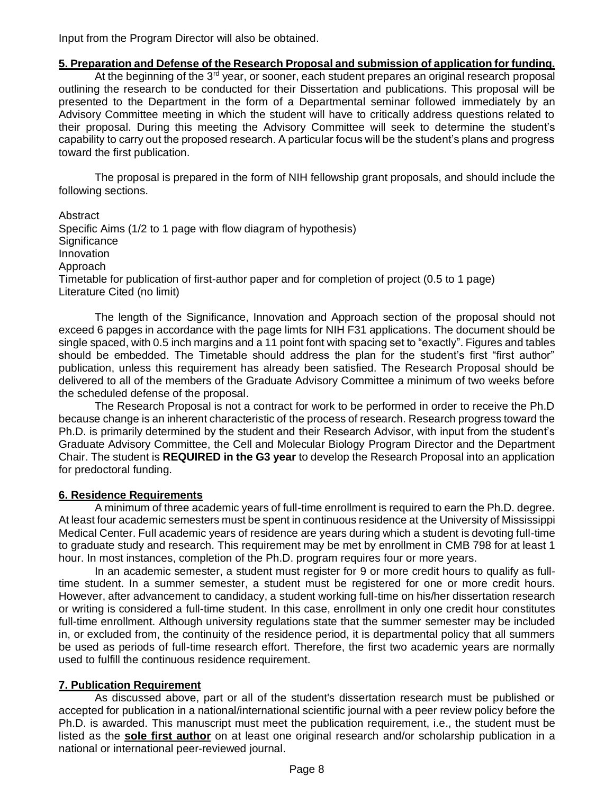Input from the Program Director will also be obtained.

# **5. Preparation and Defense of the Research Proposal and submission of application for funding.**

At the beginning of the  $3<sup>rd</sup>$  year, or sooner, each student prepares an original research proposal outlining the research to be conducted for their Dissertation and publications. This proposal will be presented to the Department in the form of a Departmental seminar followed immediately by an Advisory Committee meeting in which the student will have to critically address questions related to their proposal. During this meeting the Advisory Committee will seek to determine the student's capability to carry out the proposed research. A particular focus will be the student's plans and progress toward the first publication.

The proposal is prepared in the form of NIH fellowship grant proposals, and should include the following sections.

**Abstract** Specific Aims (1/2 to 1 page with flow diagram of hypothesis) **Significance** Innovation Approach Timetable for publication of first-author paper and for completion of project (0.5 to 1 page) Literature Cited (no limit)

The length of the Significance, Innovation and Approach section of the proposal should not exceed 6 papges in accordance with the page limts for NIH F31 applications. The document should be single spaced, with 0.5 inch margins and a 11 point font with spacing set to "exactly". Figures and tables should be embedded. The Timetable should address the plan for the student's first "first author" publication, unless this requirement has already been satisfied. The Research Proposal should be delivered to all of the members of the Graduate Advisory Committee a minimum of two weeks before the scheduled defense of the proposal.

The Research Proposal is not a contract for work to be performed in order to receive the Ph.D because change is an inherent characteristic of the process of research. Research progress toward the Ph.D. is primarily determined by the student and their Research Advisor, with input from the student's Graduate Advisory Committee, the Cell and Molecular Biology Program Director and the Department Chair. The student is **REQUIRED in the G3 year** to develop the Research Proposal into an application for predoctoral funding.

# **6. Residence Requirements**

A minimum of three academic years of full-time enrollment is required to earn the Ph.D. degree. At least four academic semesters must be spent in continuous residence at the University of Mississippi Medical Center. Full academic years of residence are years during which a student is devoting full-time to graduate study and research. This requirement may be met by enrollment in CMB 798 for at least 1 hour. In most instances, completion of the Ph.D. program requires four or more years.

In an academic semester, a student must register for 9 or more credit hours to qualify as fulltime student. In a summer semester, a student must be registered for one or more credit hours. However, after advancement to candidacy, a student working full-time on his/her dissertation research or writing is considered a full-time student. In this case, enrollment in only one credit hour constitutes full-time enrollment. Although university regulations state that the summer semester may be included in, or excluded from, the continuity of the residence period, it is departmental policy that all summers be used as periods of full-time research effort. Therefore, the first two academic years are normally used to fulfill the continuous residence requirement.

# **7. Publication Requirement**

As discussed above, part or all of the student's dissertation research must be published or accepted for publication in a national/international scientific journal with a peer review policy before the Ph.D. is awarded. This manuscript must meet the publication requirement, i.e., the student must be listed as the **sole first author** on at least one original research and/or scholarship publication in a national or international peer-reviewed journal.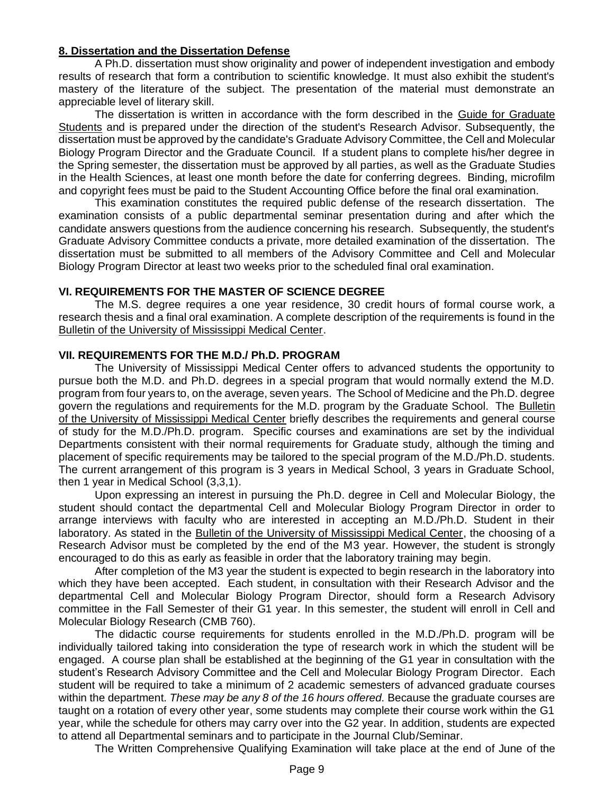#### **8. Dissertation and the Dissertation Defense**

A Ph.D. dissertation must show originality and power of independent investigation and embody results of research that form a contribution to scientific knowledge. It must also exhibit the student's mastery of the literature of the subject. The presentation of the material must demonstrate an appreciable level of literary skill.

The dissertation is written in accordance with the form described in the Guide for Graduate Students and is prepared under the direction of the student's Research Advisor. Subsequently, the dissertation must be approved by the candidate's Graduate Advisory Committee, the Cell and Molecular Biology Program Director and the Graduate Council. If a student plans to complete his/her degree in the Spring semester, the dissertation must be approved by all parties, as well as the Graduate Studies in the Health Sciences, at least one month before the date for conferring degrees. Binding, microfilm and copyright fees must be paid to the Student Accounting Office before the final oral examination.

This examination constitutes the required public defense of the research dissertation. The examination consists of a public departmental seminar presentation during and after which the candidate answers questions from the audience concerning his research. Subsequently, the student's Graduate Advisory Committee conducts a private, more detailed examination of the dissertation. The dissertation must be submitted to all members of the Advisory Committee and Cell and Molecular Biology Program Director at least two weeks prior to the scheduled final oral examination.

#### **VI. REQUIREMENTS FOR THE MASTER OF SCIENCE DEGREE**

The M.S. degree requires a one year residence, 30 credit hours of formal course work, a research thesis and a final oral examination. A complete description of the requirements is found in the Bulletin of the University of Mississippi Medical Center.

#### **VII. REQUIREMENTS FOR THE M.D./ Ph.D. PROGRAM**

The University of Mississippi Medical Center offers to advanced students the opportunity to pursue both the M.D. and Ph.D. degrees in a special program that would normally extend the M.D. program from four years to, on the average, seven years. The School of Medicine and the Ph.D. degree govern the regulations and requirements for the M.D. program by the Graduate School. The Bulletin of the University of Mississippi Medical Center briefly describes the requirements and general course of study for the M.D./Ph.D. program. Specific courses and examinations are set by the individual Departments consistent with their normal requirements for Graduate study, although the timing and placement of specific requirements may be tailored to the special program of the M.D./Ph.D. students. The current arrangement of this program is 3 years in Medical School, 3 years in Graduate School, then 1 year in Medical School (3,3,1).

Upon expressing an interest in pursuing the Ph.D. degree in Cell and Molecular Biology, the student should contact the departmental Cell and Molecular Biology Program Director in order to arrange interviews with faculty who are interested in accepting an M.D./Ph.D. Student in their laboratory. As stated in the Bulletin of the University of Mississippi Medical Center, the choosing of a Research Advisor must be completed by the end of the M3 year. However, the student is strongly encouraged to do this as early as feasible in order that the laboratory training may begin.

After completion of the M3 year the student is expected to begin research in the laboratory into which they have been accepted. Each student, in consultation with their Research Advisor and the departmental Cell and Molecular Biology Program Director, should form a Research Advisory committee in the Fall Semester of their G1 year. In this semester, the student will enroll in Cell and Molecular Biology Research (CMB 760).

The didactic course requirements for students enrolled in the M.D./Ph.D. program will be individually tailored taking into consideration the type of research work in which the student will be engaged. A course plan shall be established at the beginning of the G1 year in consultation with the student's Research Advisory Committee and the Cell and Molecular Biology Program Director. Each student will be required to take a minimum of 2 academic semesters of advanced graduate courses within the department. *These may be any 8 of the 16 hours offered.* Because the graduate courses are taught on a rotation of every other year, some students may complete their course work within the G1 year, while the schedule for others may carry over into the G2 year. In addition, students are expected to attend all Departmental seminars and to participate in the Journal Club/Seminar.

The Written Comprehensive Qualifying Examination will take place at the end of June of the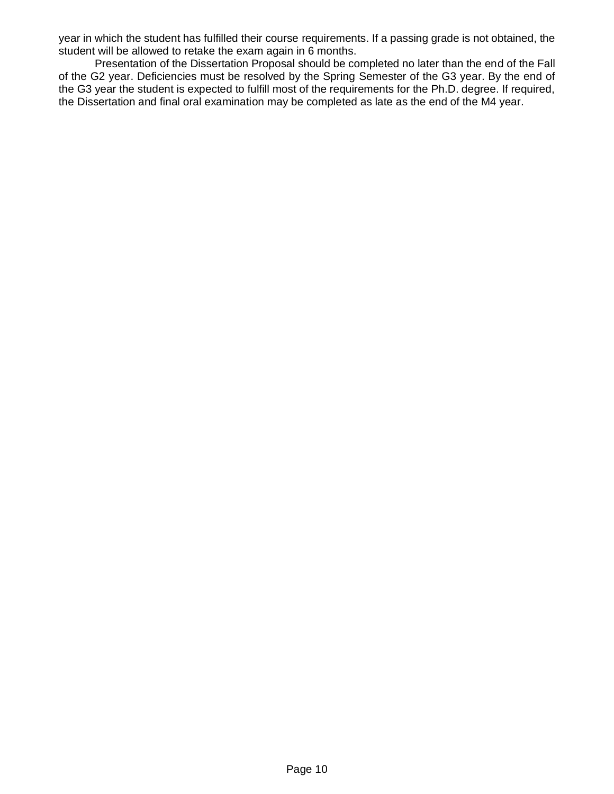year in which the student has fulfilled their course requirements. If a passing grade is not obtained, the student will be allowed to retake the exam again in 6 months.

Presentation of the Dissertation Proposal should be completed no later than the end of the Fall of the G2 year. Deficiencies must be resolved by the Spring Semester of the G3 year. By the end of the G3 year the student is expected to fulfill most of the requirements for the Ph.D. degree. If required, the Dissertation and final oral examination may be completed as late as the end of the M4 year.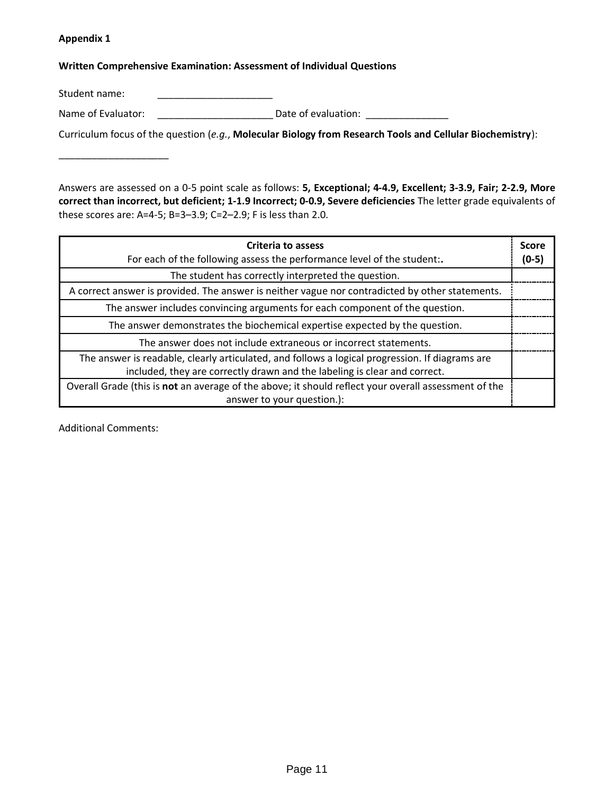#### **Appendix 1**

\_\_\_\_\_\_\_\_\_\_\_\_\_\_\_\_\_\_\_\_

#### **Written Comprehensive Examination: Assessment of Individual Questions**

Student name:

Name of Evaluator: \_\_\_\_\_\_\_\_\_\_\_\_\_\_\_\_\_\_\_\_\_\_\_\_\_\_\_\_\_\_\_ Date of evaluation: \_\_\_\_\_\_\_\_\_\_\_\_\_\_\_\_

Curriculum focus of the question (*e.g.*, **Molecular Biology from Research Tools and Cellular Biochemistry**):

Answers are assessed on a 0-5 point scale as follows: **5, Exceptional; 4-4.9, Excellent; 3-3.9, Fair; 2-2.9, More correct than incorrect, but deficient; 1-1.9 Incorrect; 0-0.9, Severe deficiencies** The letter grade equivalents of these scores are: A=4-5; B=3–3.9; C=2–2.9; F is less than 2.0.

| <b>Criteria to assess</b><br>For each of the following assess the performance level of the student:.                                                                         | <b>Score</b><br>$(0-5)$ |
|------------------------------------------------------------------------------------------------------------------------------------------------------------------------------|-------------------------|
| The student has correctly interpreted the question.                                                                                                                          |                         |
| A correct answer is provided. The answer is neither vague nor contradicted by other statements.                                                                              |                         |
| The answer includes convincing arguments for each component of the question.                                                                                                 |                         |
| The answer demonstrates the biochemical expertise expected by the question.                                                                                                  |                         |
| The answer does not include extraneous or incorrect statements.                                                                                                              |                         |
| The answer is readable, clearly articulated, and follows a logical progression. If diagrams are<br>included, they are correctly drawn and the labeling is clear and correct. |                         |
| Overall Grade (this is not an average of the above; it should reflect your overall assessment of the                                                                         |                         |
| answer to your question.):                                                                                                                                                   |                         |

Additional Comments: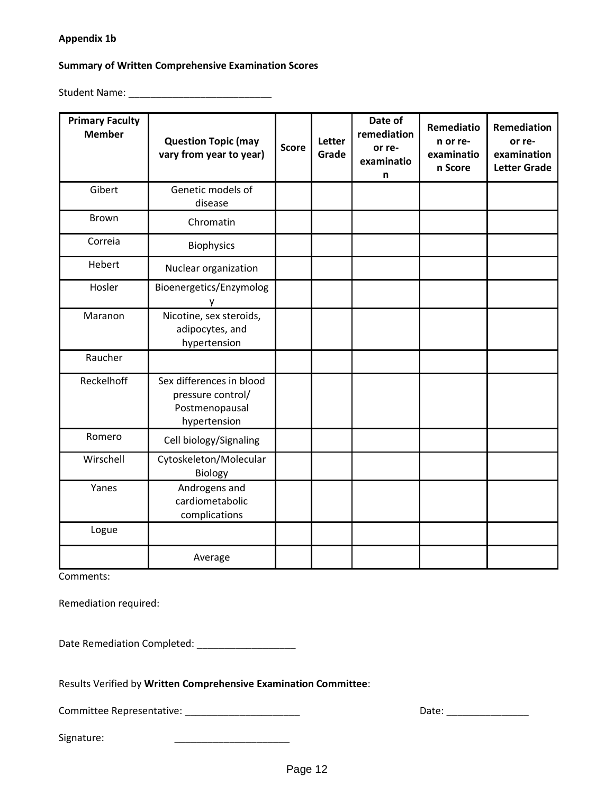### **Appendix 1b**

#### **Summary of Written Comprehensive Examination Scores**

Student Name: \_\_\_\_\_\_\_\_\_\_\_\_\_\_\_\_\_\_\_\_\_\_\_\_\_\_

| <b>Primary Faculty</b><br><b>Member</b> | <b>Question Topic (may</b><br>vary from year to year)                           | <b>Score</b> | Letter<br>Grade | Date of<br>remediation<br>or re-<br>examinatio<br>n | Remediatio<br>n or re-<br>examinatio<br>n Score | Remediation<br>or re-<br>examination<br><b>Letter Grade</b> |
|-----------------------------------------|---------------------------------------------------------------------------------|--------------|-----------------|-----------------------------------------------------|-------------------------------------------------|-------------------------------------------------------------|
| Gibert                                  | Genetic models of<br>disease                                                    |              |                 |                                                     |                                                 |                                                             |
| <b>Brown</b>                            | Chromatin                                                                       |              |                 |                                                     |                                                 |                                                             |
| Correia                                 | <b>Biophysics</b>                                                               |              |                 |                                                     |                                                 |                                                             |
| Hebert                                  | Nuclear organization                                                            |              |                 |                                                     |                                                 |                                                             |
| Hosler                                  | Bioenergetics/Enzymolog<br>У                                                    |              |                 |                                                     |                                                 |                                                             |
| Maranon                                 | Nicotine, sex steroids,<br>adipocytes, and<br>hypertension                      |              |                 |                                                     |                                                 |                                                             |
| Raucher                                 |                                                                                 |              |                 |                                                     |                                                 |                                                             |
| Reckelhoff                              | Sex differences in blood<br>pressure control/<br>Postmenopausal<br>hypertension |              |                 |                                                     |                                                 |                                                             |
| Romero                                  | Cell biology/Signaling                                                          |              |                 |                                                     |                                                 |                                                             |
| Wirschell                               | Cytoskeleton/Molecular<br>Biology                                               |              |                 |                                                     |                                                 |                                                             |
| Yanes                                   | Androgens and<br>cardiometabolic<br>complications                               |              |                 |                                                     |                                                 |                                                             |
| Logue                                   |                                                                                 |              |                 |                                                     |                                                 |                                                             |
|                                         | Average                                                                         |              |                 |                                                     |                                                 |                                                             |

Comments:

Remediation required:

Date Remediation Completed: \_\_\_\_\_\_\_\_\_\_\_\_\_\_\_\_\_\_

Results Verified by **Written Comprehensive Examination Committee**:

Committee Representative: \_\_\_\_\_\_\_\_\_\_\_\_\_\_\_\_\_\_\_\_\_ Date: \_\_\_\_\_\_\_\_\_\_\_\_\_\_\_

Signature: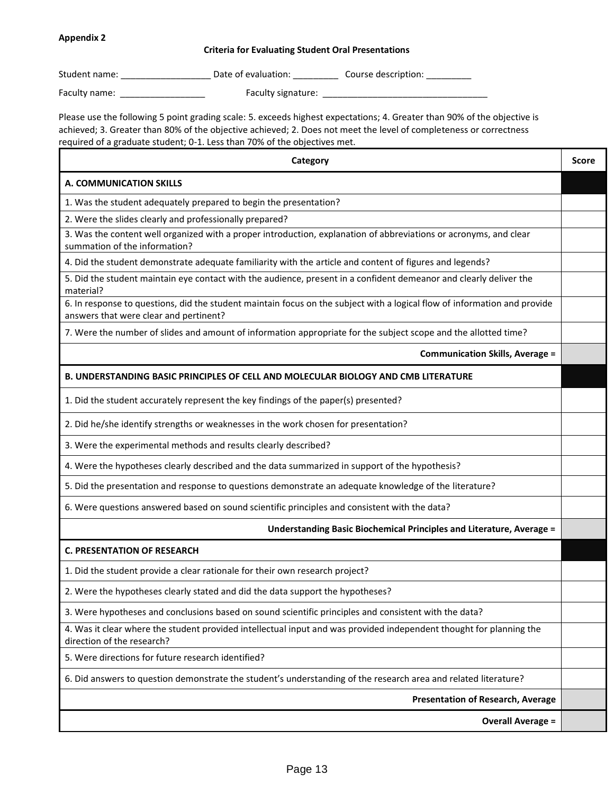#### **Appendix 2**

#### **Criteria for Evaluating Student Oral Presentations**

Student name: \_\_\_\_\_\_\_\_\_\_\_\_\_\_\_\_\_\_\_\_\_\_\_\_ Date of evaluation: \_\_\_\_\_\_\_\_\_\_\_\_\_ Course description: \_\_\_\_\_\_\_\_\_\_\_\_

Faculty name: \_\_\_\_\_\_\_\_\_\_\_\_\_\_\_\_\_ Faculty signature: \_\_\_\_\_\_\_\_\_\_\_\_\_\_\_\_\_\_\_\_\_\_\_\_\_\_\_\_\_\_\_\_\_

Please use the following 5 point grading scale: 5. exceeds highest expectations; 4. Greater than 90% of the objective is achieved; 3. Greater than 80% of the objective achieved; 2. Does not meet the level of completeness or correctness required of a graduate student; 0-1. Less than 70% of the objectives met.

| Category                                                                                                                                                            | <b>Score</b> |
|---------------------------------------------------------------------------------------------------------------------------------------------------------------------|--------------|
| A. COMMUNICATION SKILLS                                                                                                                                             |              |
| 1. Was the student adequately prepared to begin the presentation?                                                                                                   |              |
| 2. Were the slides clearly and professionally prepared?                                                                                                             |              |
| 3. Was the content well organized with a proper introduction, explanation of abbreviations or acronyms, and clear<br>summation of the information?                  |              |
| 4. Did the student demonstrate adequate familiarity with the article and content of figures and legends?                                                            |              |
| 5. Did the student maintain eye contact with the audience, present in a confident demeanor and clearly deliver the<br>material?                                     |              |
| 6. In response to questions, did the student maintain focus on the subject with a logical flow of information and provide<br>answers that were clear and pertinent? |              |
| 7. Were the number of slides and amount of information appropriate for the subject scope and the allotted time?                                                     |              |
| <b>Communication Skills, Average =</b>                                                                                                                              |              |
| <b>B. UNDERSTANDING BASIC PRINCIPLES OF CELL AND MOLECULAR BIOLOGY AND CMB LITERATURE</b>                                                                           |              |
| 1. Did the student accurately represent the key findings of the paper(s) presented?                                                                                 |              |
| 2. Did he/she identify strengths or weaknesses in the work chosen for presentation?                                                                                 |              |
| 3. Were the experimental methods and results clearly described?                                                                                                     |              |
| 4. Were the hypotheses clearly described and the data summarized in support of the hypothesis?                                                                      |              |
| 5. Did the presentation and response to questions demonstrate an adequate knowledge of the literature?                                                              |              |
| 6. Were questions answered based on sound scientific principles and consistent with the data?                                                                       |              |
| Understanding Basic Biochemical Principles and Literature, Average =                                                                                                |              |
| <b>C. PRESENTATION OF RESEARCH</b>                                                                                                                                  |              |
| 1. Did the student provide a clear rationale for their own research project?                                                                                        |              |
| 2. Were the hypotheses clearly stated and did the data support the hypotheses?                                                                                      |              |
| 3. Were hypotheses and conclusions based on sound scientific principles and consistent with the data?                                                               |              |
| 4. Was it clear where the student provided intellectual input and was provided independent thought for planning the<br>direction of the research?                   |              |
| 5. Were directions for future research identified?                                                                                                                  |              |
| 6. Did answers to question demonstrate the student's understanding of the research area and related literature?                                                     |              |
| <b>Presentation of Research, Average</b>                                                                                                                            |              |
| <b>Overall Average =</b>                                                                                                                                            |              |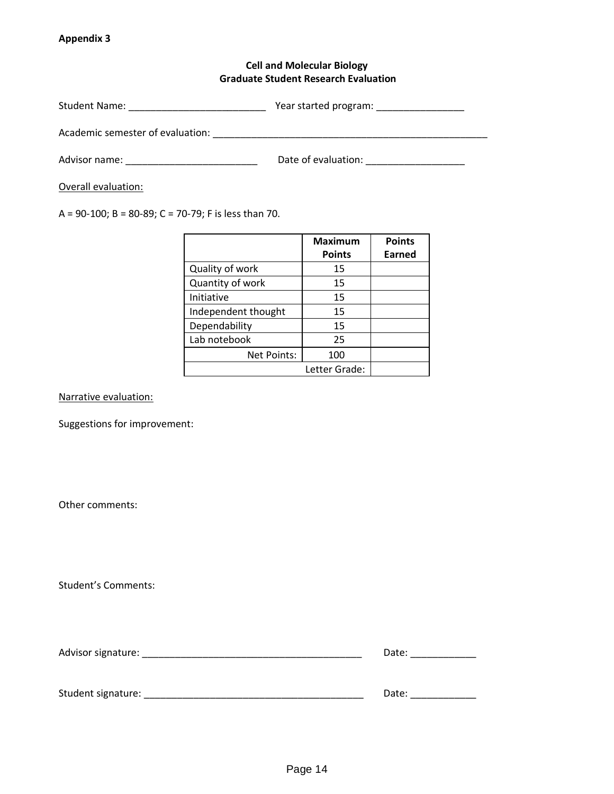#### **Appendix 3**

# **Cell and Molecular Biology Graduate Student Research Evaluation**

| Year started program: |  |
|-----------------------|--|
|                       |  |
|                       |  |

Academic semester of evaluation: \_\_\_\_\_\_\_\_\_\_\_\_\_\_\_\_\_\_\_\_\_\_\_\_\_\_\_\_\_\_\_\_\_\_\_\_\_\_\_\_\_\_\_\_\_\_\_\_\_\_

Advisor name: \_\_\_\_\_\_\_\_\_\_\_\_\_\_\_\_\_\_\_\_\_\_\_\_ Date of evaluation: \_\_\_\_\_\_\_\_\_\_\_\_\_\_\_\_\_\_

Overall evaluation:

A = 90-100; B = 80-89; C = 70-79; F is less than 70.

|                     | <b>Maximum</b> | <b>Points</b> |
|---------------------|----------------|---------------|
|                     | <b>Points</b>  | Earned        |
| Quality of work     | 15             |               |
| Quantity of work    | 15             |               |
| Initiative          | 15             |               |
| Independent thought | 15             |               |
| Dependability       | 15             |               |
| Lab notebook        | 25             |               |
| Net Points:         | 100            |               |
|                     | Letter Grade:  |               |

Narrative evaluation:

Suggestions for improvement:

Other comments:

Student's Comments:

| Advisor signature: |  | Date |
|--------------------|--|------|
|                    |  |      |
|                    |  |      |

Student signature: \_\_\_\_\_\_\_\_\_\_\_\_\_\_\_\_\_\_\_\_\_\_\_\_\_\_\_\_\_\_\_\_\_\_\_\_\_\_\_\_ Date: \_\_\_\_\_\_\_\_\_\_\_\_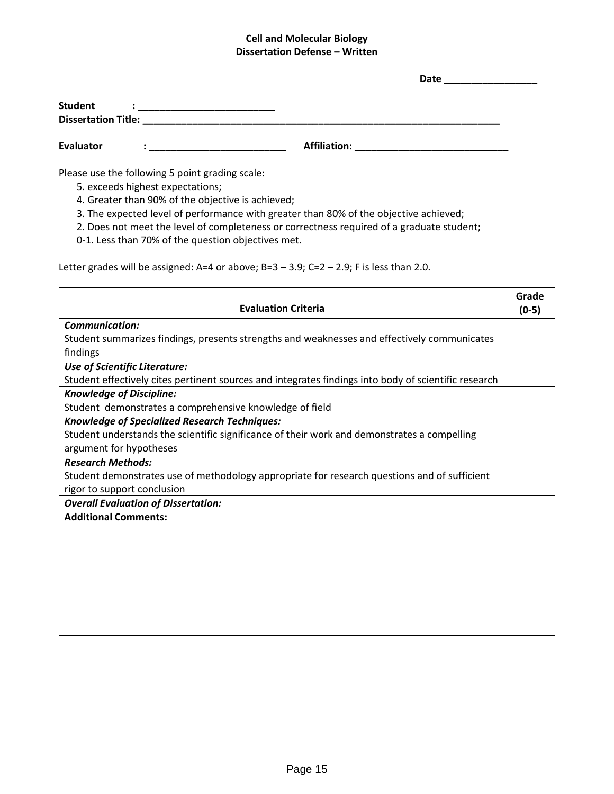## **Cell and Molecular Biology Dissertation Defense – Written**

|                  |                                                                                                                                                                                                                                |                     | Date                                                  |
|------------------|--------------------------------------------------------------------------------------------------------------------------------------------------------------------------------------------------------------------------------|---------------------|-------------------------------------------------------|
| <b>Student</b>   | A state of the state of the state of the state of the state of the state of the state of the state of the state of the state of the state of the state of the state of the state of the state of the state of the state of the |                     |                                                       |
| <b>Evaluator</b> |                                                                                                                                                                                                                                | <b>Affiliation:</b> | <u> 1980 - Jan Sammer Stein, Amerikaansk kanton (</u> |

Please use the following 5 point grading scale:

- 5. exceeds highest expectations;
- 4. Greater than 90% of the objective is achieved;
- 3. The expected level of performance with greater than 80% of the objective achieved;
- 2. Does not meet the level of completeness or correctness required of a graduate student;
- 0-1. Less than 70% of the question objectives met.

Letter grades will be assigned: A=4 or above; B=3  $-$  3.9; C=2  $-$  2.9; F is less than 2.0.

| <b>Evaluation Criteria</b>                                                                           | Grade<br>$(0-5)$ |
|------------------------------------------------------------------------------------------------------|------------------|
| <b>Communication:</b>                                                                                |                  |
| Student summarizes findings, presents strengths and weaknesses and effectively communicates          |                  |
| findings                                                                                             |                  |
| Use of Scientific Literature:                                                                        |                  |
| Student effectively cites pertinent sources and integrates findings into body of scientific research |                  |
| <b>Knowledge of Discipline:</b>                                                                      |                  |
| Student demonstrates a comprehensive knowledge of field                                              |                  |
| <b>Knowledge of Specialized Research Techniques:</b>                                                 |                  |
| Student understands the scientific significance of their work and demonstrates a compelling          |                  |
| argument for hypotheses                                                                              |                  |
| <b>Research Methods:</b>                                                                             |                  |
| Student demonstrates use of methodology appropriate for research questions and of sufficient         |                  |
| rigor to support conclusion                                                                          |                  |
| <b>Overall Evaluation of Dissertation:</b>                                                           |                  |
| <b>Additional Comments:</b>                                                                          |                  |
|                                                                                                      |                  |
|                                                                                                      |                  |
|                                                                                                      |                  |
|                                                                                                      |                  |
|                                                                                                      |                  |
|                                                                                                      |                  |
|                                                                                                      |                  |
|                                                                                                      |                  |